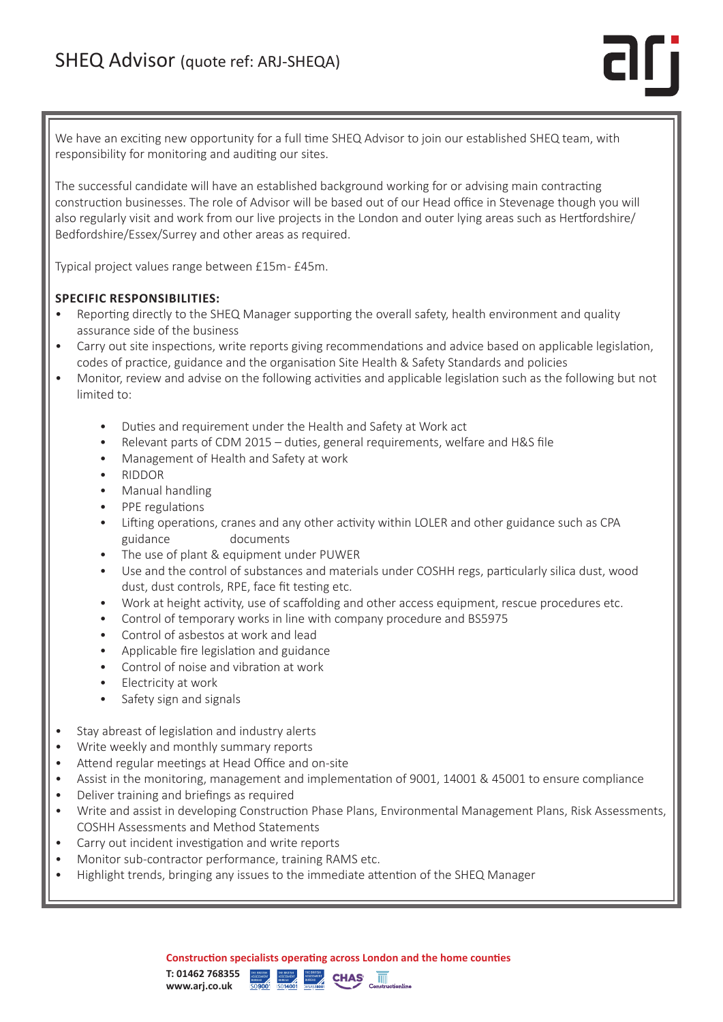We have an exciting new opportunity for a full time SHEQ Advisor to join our established SHEQ team, with responsibility for monitoring and auditing our sites.

The successful candidate will have an established background working for or advising main contracting construction businesses. The role of Advisor will be based out of our Head office in Stevenage though you will also regularly visit and work from our live projects in the London and outer lying areas such as Hertfordshire/ Bedfordshire/Essex/Surrey and other areas as required.

Typical project values range between £15m - £45m.

# **SPECIFIC RESPONSIBILITIES:**

- Reporting directly to the SHEQ Manager supporting the overall safety, health environment and quality assurance side of the business
- Carry out site inspections, write reports giving recommendations and advice based on applicable legislation, codes of practice, guidance and the organisation Site Health & Safety Standards and policies
- Monitor, review and advise on the following activities and applicable legislation such as the following but not limited to:
	- Duties and requirement under the Health and Safety at Work act
	- Relevant parts of CDM 2015 duties, general requirements, welfare and H&S file
	- Management of Health and Safety at work
	- RIDDOR
	- Manual handling
	- PPE regulations
	- Lifting operations, cranes and any other activity within LOLER and other guidance such as CPA guidance documents
	- The use of plant & equipment under PUWER
	- Use and the control of substances and materials under COSHH regs, particularly silica dust, wood dust, dust controls, RPE, face fit testing etc.
	- Work at height activity, use of scaffolding and other access equipment, rescue procedures etc.
	- Control of temporary works in line with company procedure and BS5975
	- Control of asbestos at work and lead
	- Applicable fire legislation and guidance
	- Control of noise and vibration at work
	- Electricity at work
	- Safety sign and signals
- Stay abreast of legislation and industry alerts
- Write weekly and monthly summary reports
- Attend regular meetings at Head Office and on-site
- Assist in the monitoring, management and implementation of 9001, 14001 & 45001 to ensure compliance
- Deliver training and briefings as required
- Write and assist in developing Construction Phase Plans, Environmental Management Plans, Risk Assessments, COSHH Assessments and Method Statements
- Carry out incident investigation and write reports
- Monitor sub-contractor performance, training RAMS etc.
- Highlight trends, bringing any issues to the immediate attention of the SHEQ Manager

**Construction specialists operating across London and the home counties**

 $CHAS$